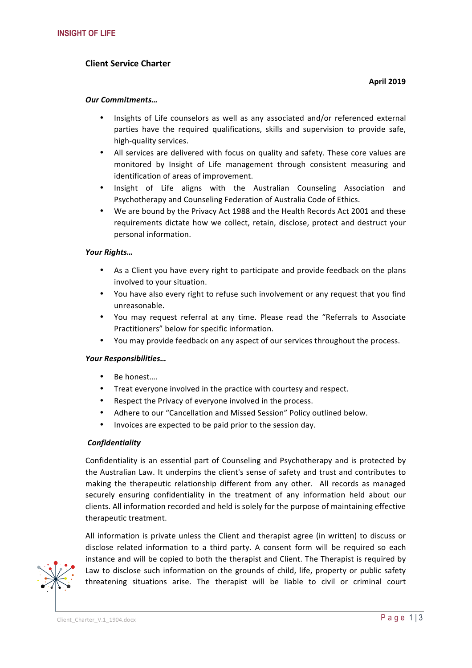# **Client Service Charter**

## *Our Commitments…*

- Insights of Life counselors as well as any associated and/or referenced external parties have the required qualifications, skills and supervision to provide safe, high-quality services.
- All services are delivered with focus on quality and safety. These core values are monitored by Insight of Life management through consistent measuring and identification of areas of improvement.
- Insight of Life aligns with the Australian Counseling Association and Psychotherapy and Counseling Federation of Australia Code of Ethics.
- We are bound by the Privacy Act 1988 and the Health Records Act 2001 and these requirements dictate how we collect, retain, disclose, protect and destruct your personal information.

# *Your Rights…*

- As a Client you have every right to participate and provide feedback on the plans involved to your situation.
- You have also every right to refuse such involvement or any request that you find unreasonable.
- You may request referral at any time. Please read the "Referrals to Associate Practitioners" below for specific information.
- You may provide feedback on any aspect of our services throughout the process.

## *Your Responsibilities…*

- Be honest....
- Treat everyone involved in the practice with courtesy and respect.
- Respect the Privacy of everyone involved in the process.
- Adhere to our "Cancellation and Missed Session" Policy outlined below.
- Invoices are expected to be paid prior to the session day.

## *Confidentiality*

Confidentiality is an essential part of Counseling and Psychotherapy and is protected by the Australian Law. It underpins the client's sense of safety and trust and contributes to making the therapeutic relationship different from any other. All records as managed securely ensuring confidentiality in the treatment of any information held about our clients. All information recorded and held is solely for the purpose of maintaining effective therapeutic treatment.

All information is private unless the Client and therapist agree (in written) to discuss or disclose related information to a third party. A consent form will be required so each instance and will be copied to both the therapist and Client. The Therapist is required by Law to disclose such information on the grounds of child, life, property or public safety threatening situations arise. The therapist will be liable to civil or criminal court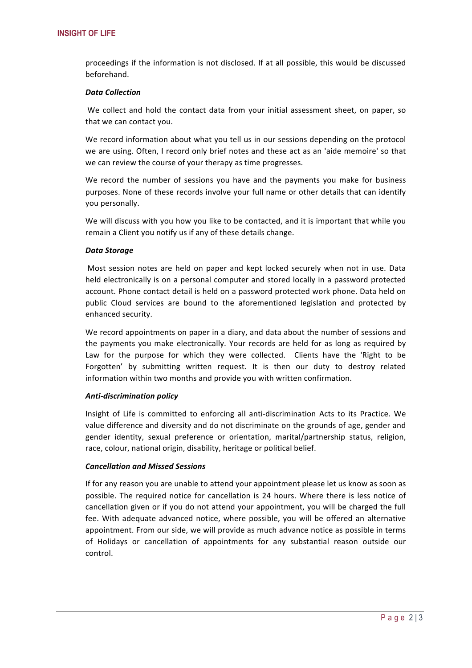proceedings if the information is not disclosed. If at all possible, this would be discussed beforehand.

#### *Data Collection*

We collect and hold the contact data from your initial assessment sheet, on paper, so that we can contact you.

We record information about what you tell us in our sessions depending on the protocol we are using. Often, I record only brief notes and these act as an 'aide memoire' so that we can review the course of your therapy as time progresses.

We record the number of sessions you have and the payments you make for business purposes. None of these records involve your full name or other details that can identify you personally.

We will discuss with you how you like to be contacted, and it is important that while you remain a Client you notify us if any of these details change.

#### *Data Storage*

Most session notes are held on paper and kept locked securely when not in use. Data held electronically is on a personal computer and stored locally in a password protected account. Phone contact detail is held on a password protected work phone. Data held on public Cloud services are bound to the aforementioned legislation and protected by enhanced security.

We record appointments on paper in a diary, and data about the number of sessions and the payments you make electronically. Your records are held for as long as required by Law for the purpose for which they were collected. Clients have the 'Right to be Forgotten' by submitting written request. It is then our duty to destroy related information within two months and provide you with written confirmation.

## *Anti-discrimination policy*

Insight of Life is committed to enforcing all anti-discrimination Acts to its Practice. We value difference and diversity and do not discriminate on the grounds of age, gender and gender identity, sexual preference or orientation, marital/partnership status, religion, race, colour, national origin, disability, heritage or political belief.

## *Cancellation and Missed Sessions*

If for any reason you are unable to attend your appointment please let us know as soon as possible. The required notice for cancellation is 24 hours. Where there is less notice of cancellation given or if you do not attend your appointment, you will be charged the full fee. With adequate advanced notice, where possible, you will be offered an alternative appointment. From our side, we will provide as much advance notice as possible in terms of Holidays or cancellation of appointments for any substantial reason outside our control.